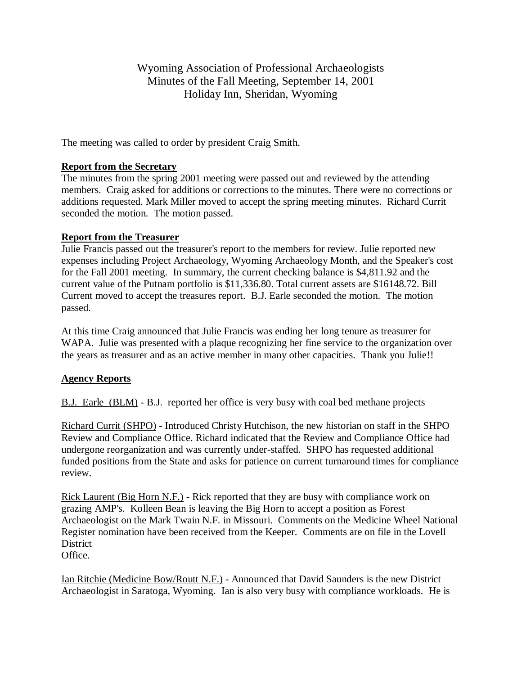Wyoming Association of Professional Archaeologists Minutes of the Fall Meeting, September 14, 2001 Holiday Inn, Sheridan, Wyoming

The meeting was called to order by president Craig Smith.

## **Report from the Secretary**

The minutes from the spring 2001 meeting were passed out and reviewed by the attending members. Craig asked for additions or corrections to the minutes. There were no corrections or additions requested. Mark Miller moved to accept the spring meeting minutes. Richard Currit seconded the motion. The motion passed.

## **Report from the Treasurer**

Julie Francis passed out the treasurer's report to the members for review. Julie reported new expenses including Project Archaeology, Wyoming Archaeology Month, and the Speaker's cost for the Fall 2001 meeting. In summary, the current checking balance is \$4,811.92 and the current value of the Putnam portfolio is \$11,336.80. Total current assets are \$16148.72. Bill Current moved to accept the treasures report. B.J. Earle seconded the motion. The motion passed.

At this time Craig announced that Julie Francis was ending her long tenure as treasurer for WAPA. Julie was presented with a plaque recognizing her fine service to the organization over the years as treasurer and as an active member in many other capacities. Thank you Julie!!

# **Agency Reports**

B.J. Earle (BLM) - B.J. reported her office is very busy with coal bed methane projects

Richard Currit (SHPO) - Introduced Christy Hutchison, the new historian on staff in the SHPO Review and Compliance Office. Richard indicated that the Review and Compliance Office had undergone reorganization and was currently under-staffed. SHPO has requested additional funded positions from the State and asks for patience on current turnaround times for compliance review.

Rick Laurent (Big Horn N.F.) - Rick reported that they are busy with compliance work on grazing AMP's. Kolleen Bean is leaving the Big Horn to accept a position as Forest Archaeologist on the Mark Twain N.F. in Missouri. Comments on the Medicine Wheel National Register nomination have been received from the Keeper. Comments are on file in the Lovell District

Office.

Ian Ritchie (Medicine Bow/Routt N.F.) - Announced that David Saunders is the new District Archaeologist in Saratoga, Wyoming. Ian is also very busy with compliance workloads. He is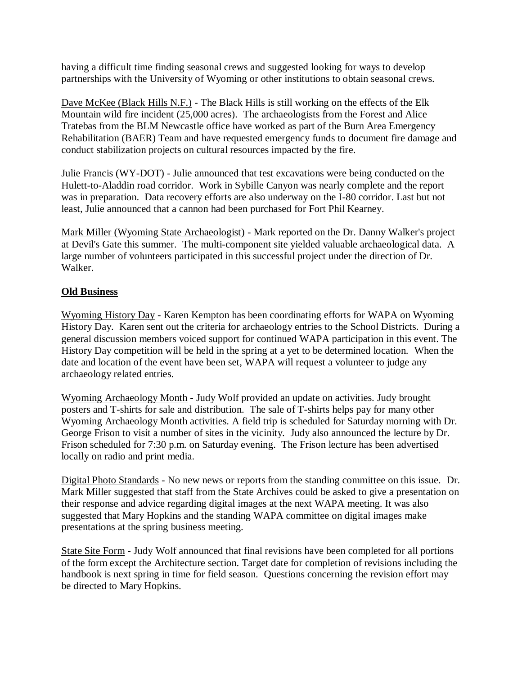having a difficult time finding seasonal crews and suggested looking for ways to develop partnerships with the University of Wyoming or other institutions to obtain seasonal crews.

Dave McKee (Black Hills N.F.) - The Black Hills is still working on the effects of the Elk Mountain wild fire incident (25,000 acres). The archaeologists from the Forest and Alice Tratebas from the BLM Newcastle office have worked as part of the Burn Area Emergency Rehabilitation (BAER) Team and have requested emergency funds to document fire damage and conduct stabilization projects on cultural resources impacted by the fire.

Julie Francis (WY-DOT) - Julie announced that test excavations were being conducted on the Hulett-to-Aladdin road corridor. Work in Sybille Canyon was nearly complete and the report was in preparation. Data recovery efforts are also underway on the I-80 corridor. Last but not least, Julie announced that a cannon had been purchased for Fort Phil Kearney.

Mark Miller (Wyoming State Archaeologist) - Mark reported on the Dr. Danny Walker's project at Devil's Gate this summer. The multi-component site yielded valuable archaeological data. A large number of volunteers participated in this successful project under the direction of Dr. Walker.

# **Old Business**

Wyoming History Day - Karen Kempton has been coordinating efforts for WAPA on Wyoming History Day. Karen sent out the criteria for archaeology entries to the School Districts. During a general discussion members voiced support for continued WAPA participation in this event. The History Day competition will be held in the spring at a yet to be determined location. When the date and location of the event have been set, WAPA will request a volunteer to judge any archaeology related entries.

Wyoming Archaeology Month - Judy Wolf provided an update on activities. Judy brought posters and T-shirts for sale and distribution. The sale of T-shirts helps pay for many other Wyoming Archaeology Month activities. A field trip is scheduled for Saturday morning with Dr. George Frison to visit a number of sites in the vicinity. Judy also announced the lecture by Dr. Frison scheduled for 7:30 p.m. on Saturday evening. The Frison lecture has been advertised locally on radio and print media.

Digital Photo Standards - No new news or reports from the standing committee on this issue. Dr. Mark Miller suggested that staff from the State Archives could be asked to give a presentation on their response and advice regarding digital images at the next WAPA meeting. It was also suggested that Mary Hopkins and the standing WAPA committee on digital images make presentations at the spring business meeting.

State Site Form - Judy Wolf announced that final revisions have been completed for all portions of the form except the Architecture section. Target date for completion of revisions including the handbook is next spring in time for field season. Questions concerning the revision effort may be directed to Mary Hopkins.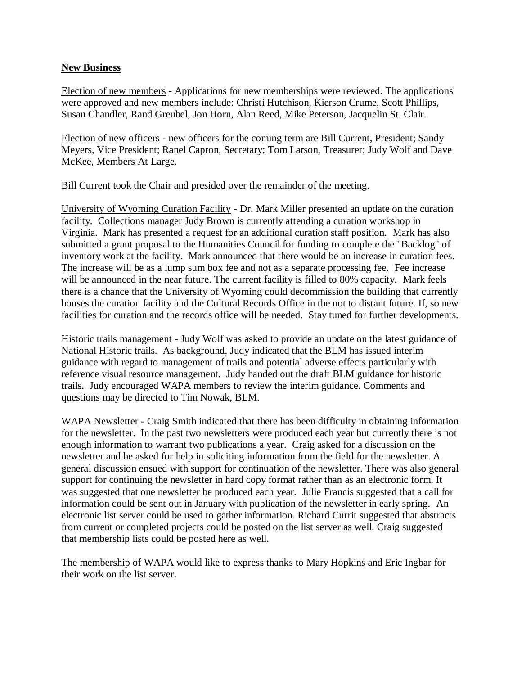### **New Business**

Election of new members - Applications for new memberships were reviewed. The applications were approved and new members include: Christi Hutchison, Kierson Crume, Scott Phillips, Susan Chandler, Rand Greubel, Jon Horn, Alan Reed, Mike Peterson, Jacquelin St. Clair.

Election of new officers - new officers for the coming term are Bill Current, President; Sandy Meyers, Vice President; Ranel Capron, Secretary; Tom Larson, Treasurer; Judy Wolf and Dave McKee, Members At Large.

Bill Current took the Chair and presided over the remainder of the meeting.

University of Wyoming Curation Facility - Dr. Mark Miller presented an update on the curation facility. Collections manager Judy Brown is currently attending a curation workshop in Virginia. Mark has presented a request for an additional curation staff position. Mark has also submitted a grant proposal to the Humanities Council for funding to complete the "Backlog" of inventory work at the facility. Mark announced that there would be an increase in curation fees. The increase will be as a lump sum box fee and not as a separate processing fee. Fee increase will be announced in the near future. The current facility is filled to 80% capacity. Mark feels there is a chance that the University of Wyoming could decommission the building that currently houses the curation facility and the Cultural Records Office in the not to distant future. If, so new facilities for curation and the records office will be needed. Stay tuned for further developments.

Historic trails management - Judy Wolf was asked to provide an update on the latest guidance of National Historic trails. As background, Judy indicated that the BLM has issued interim guidance with regard to management of trails and potential adverse effects particularly with reference visual resource management. Judy handed out the draft BLM guidance for historic trails. Judy encouraged WAPA members to review the interim guidance. Comments and questions may be directed to Tim Nowak, BLM.

WAPA Newsletter - Craig Smith indicated that there has been difficulty in obtaining information for the newsletter. In the past two newsletters were produced each year but currently there is not enough information to warrant two publications a year. Craig asked for a discussion on the newsletter and he asked for help in soliciting information from the field for the newsletter. A general discussion ensued with support for continuation of the newsletter. There was also general support for continuing the newsletter in hard copy format rather than as an electronic form. It was suggested that one newsletter be produced each year. Julie Francis suggested that a call for information could be sent out in January with publication of the newsletter in early spring. An electronic list server could be used to gather information. Richard Currit suggested that abstracts from current or completed projects could be posted on the list server as well. Craig suggested that membership lists could be posted here as well.

The membership of WAPA would like to express thanks to Mary Hopkins and Eric Ingbar for their work on the list server.